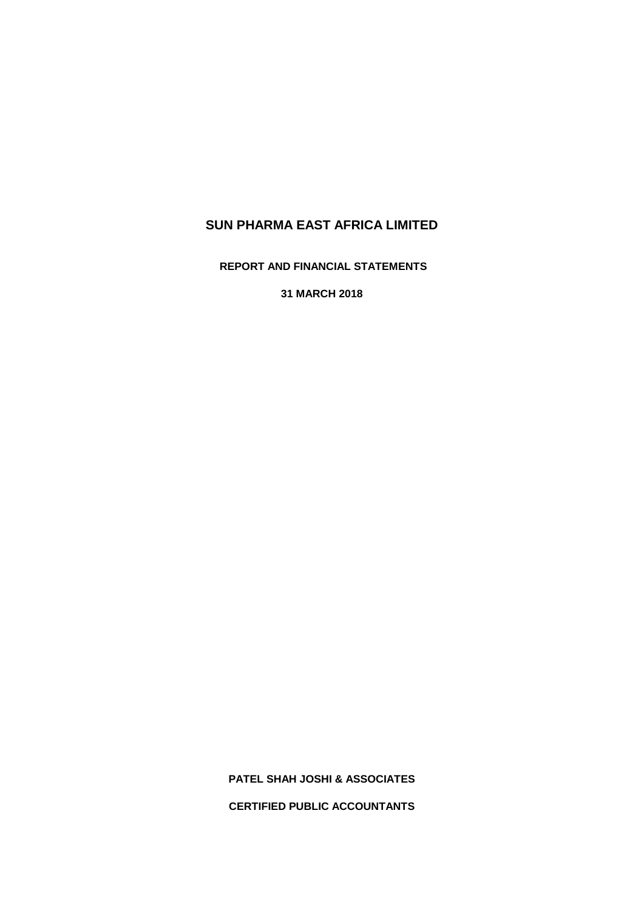**REPORT AND FINANCIAL STATEMENTS**

**31 MARCH 2018**

**PATEL SHAH JOSHI & ASSOCIATES**

**CERTIFIED PUBLIC ACCOUNTANTS**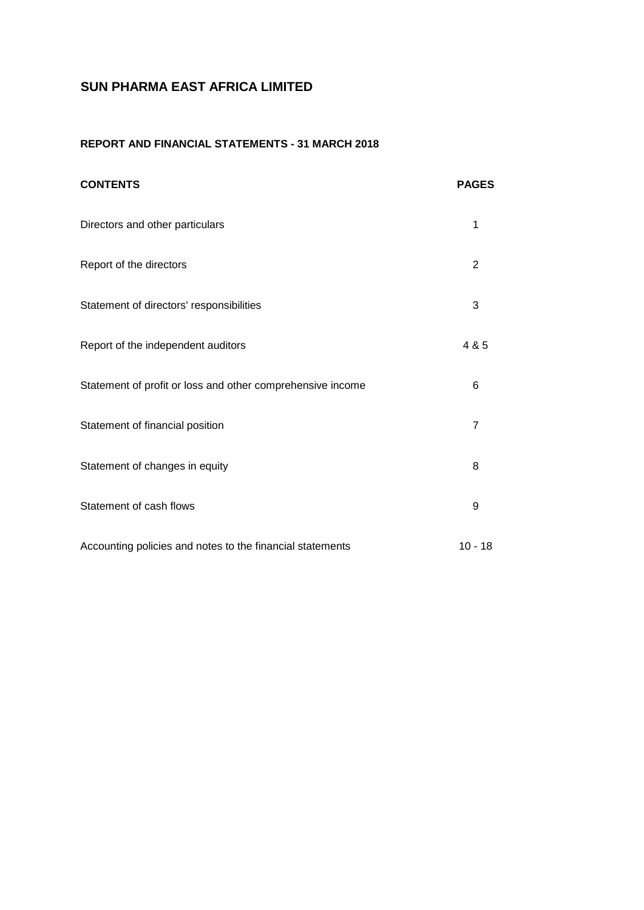## **REPORT AND FINANCIAL STATEMENTS - 31 MARCH 2018**

| <b>CONTENTS</b>                                            | <b>PAGES</b> |
|------------------------------------------------------------|--------------|
| Directors and other particulars                            | 1            |
| Report of the directors                                    | 2            |
| Statement of directors' responsibilities                   | 3            |
| Report of the independent auditors                         | 4 & 5        |
| Statement of profit or loss and other comprehensive income | 6            |
| Statement of financial position                            | 7            |
| Statement of changes in equity                             | 8            |
| Statement of cash flows                                    | 9            |
| Accounting policies and notes to the financial statements  | $10 - 18$    |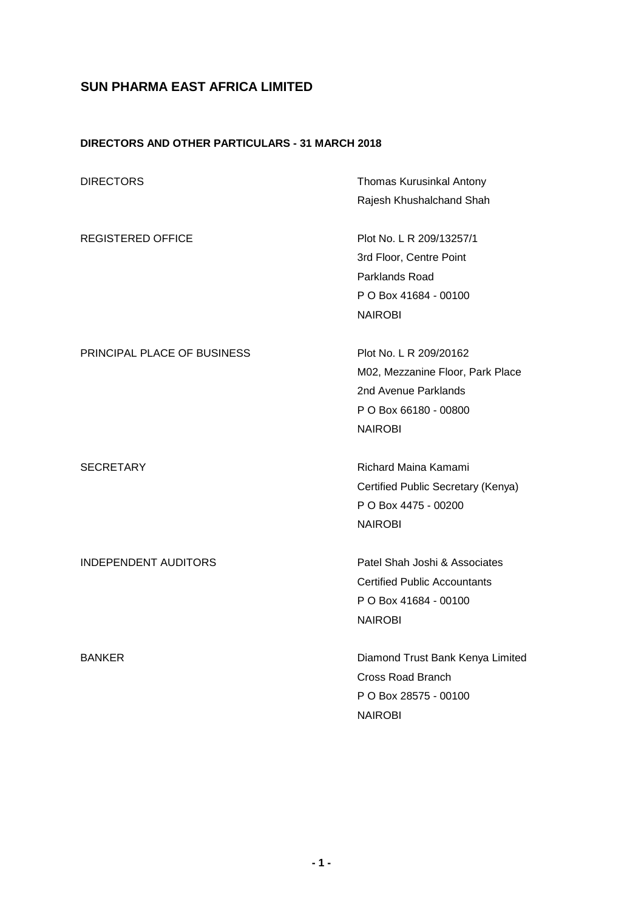# **DIRECTORS AND OTHER PARTICULARS - 31 MARCH 2018**

| <b>DIRECTORS</b>            | Thomas Kurusinkal Antony<br>Rajesh Khushalchand Shah                                                                          |
|-----------------------------|-------------------------------------------------------------------------------------------------------------------------------|
| <b>REGISTERED OFFICE</b>    | Plot No. L R 209/13257/1<br>3rd Floor, Centre Point<br>Parklands Road<br>P O Box 41684 - 00100<br><b>NAIROBI</b>              |
| PRINCIPAL PLACE OF BUSINESS | Plot No. L R 209/20162<br>M02, Mezzanine Floor, Park Place<br>2nd Avenue Parklands<br>P O Box 66180 - 00800<br><b>NAIROBI</b> |
| <b>SECRETARY</b>            | Richard Maina Kamami<br>Certified Public Secretary (Kenya)<br>P O Box 4475 - 00200<br><b>NAIROBI</b>                          |
| <b>INDEPENDENT AUDITORS</b> | Patel Shah Joshi & Associates<br><b>Certified Public Accountants</b><br>P O Box 41684 - 00100<br><b>NAIROBI</b>               |
| <b>BANKER</b>               | Diamond Trust Bank Kenya Limited<br><b>Cross Road Branch</b><br>P O Box 28575 - 00100<br><b>NAIROBI</b>                       |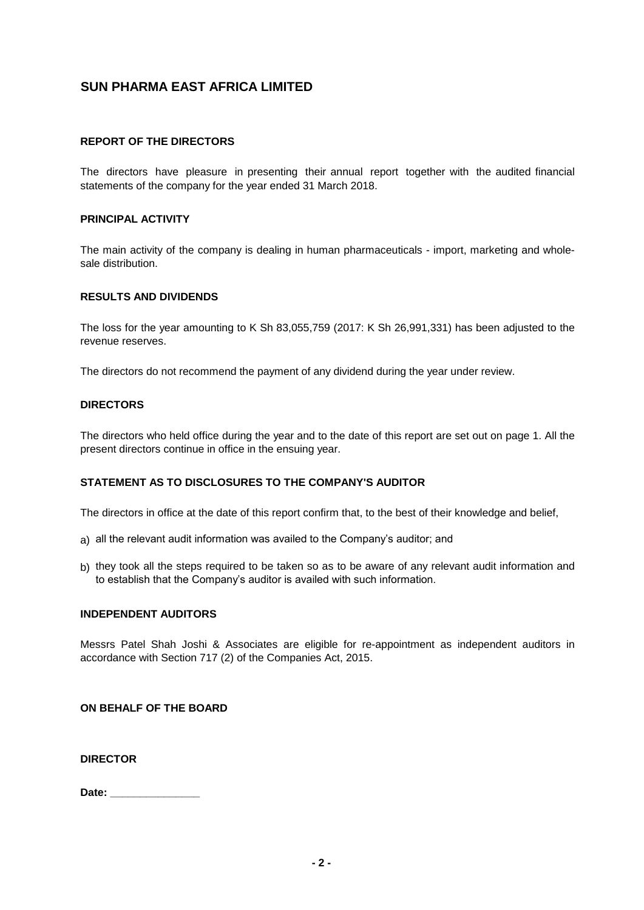## **REPORT OF THE DIRECTORS**

The directors have pleasure in presenting their annual report together with the audited financial statements of the company for the year ended 31 March 2018.

#### **PRINCIPAL ACTIVITY**

The main activity of the company is dealing in human pharmaceuticals - import, marketing and wholesale distribution.

#### **RESULTS AND DIVIDENDS**

The loss for the year amounting to K Sh 83,055,759 (2017: K Sh 26,991,331) has been adjusted to the revenue reserves.

The directors do not recommend the payment of any dividend during the year under review.

#### **DIRECTORS**

The directors who held office during the year and to the date of this report are set out on page 1. All the present directors continue in office in the ensuing year.

## **STATEMENT AS TO DISCLOSURES TO THE COMPANY'S AUDITOR**

The directors in office at the date of this report confirm that, to the best of their knowledge and belief,

- a) all the relevant audit information was availed to the Company's auditor; and
- b) they took all the steps required to be taken so as to be aware of any relevant audit information and to establish that the Company's auditor is availed with such information.

#### **INDEPENDENT AUDITORS**

Messrs Patel Shah Joshi & Associates are eligible for re-appointment as independent auditors in accordance with Section 717 (2) of the Companies Act, 2015.

**ON BEHALF OF THE BOARD**

**DIRECTOR**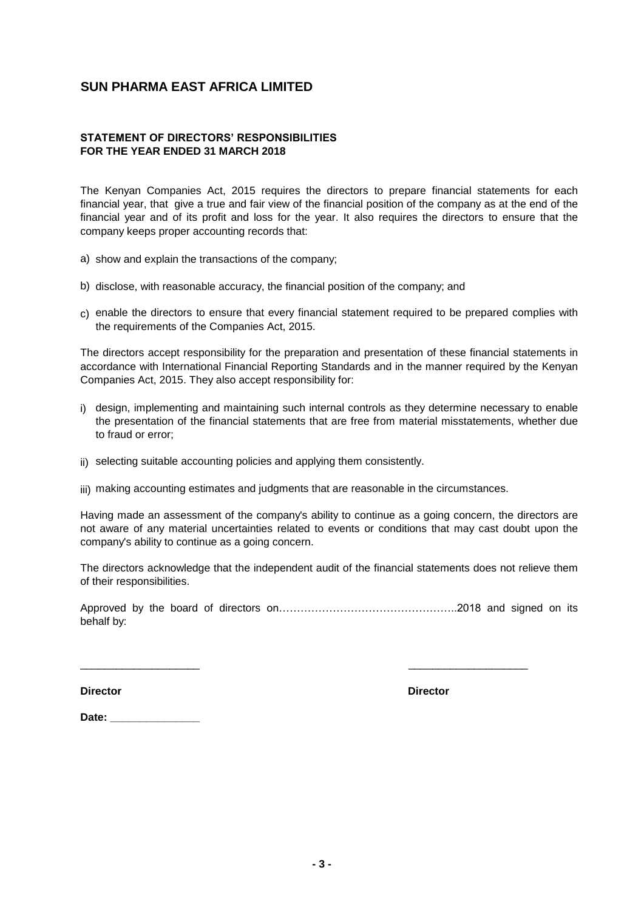## **STATEMENT OF DIRECTORS' RESPONSIBILITIES FOR THE YEAR ENDED 31 MARCH 2018**

The Kenyan Companies Act, 2015 requires the directors to prepare financial statements for each financial year, that give a true and fair view of the financial position of the company as at the end of the financial year and of its profit and loss for the year. It also requires the directors to ensure that the company keeps proper accounting records that:

- a) show and explain the transactions of the company;
- b) disclose, with reasonable accuracy, the financial position of the company; and
- c) enable the directors to ensure that every financial statement required to be prepared complies with the requirements of the Companies Act, 2015.

The directors accept responsibility for the preparation and presentation of these financial statements in accordance with International Financial Reporting Standards and in the manner required by the Kenyan Companies Act, 2015. They also accept responsibility for:

- i) design, implementing and maintaining such internal controls as they determine necessary to enable the presentation of the financial statements that are free from material misstatements, whether due to fraud or error;
- ii) selecting suitable accounting policies and applying them consistently.
- iii) making accounting estimates and judgments that are reasonable in the circumstances.

Having made an assessment of the company's ability to continue as a going concern, the directors are not aware of any material uncertainties related to events or conditions that may cast doubt upon the company's ability to continue as a going concern.

The directors acknowledge that the independent audit of the financial statements does not relieve them of their responsibilities.

Approved by the board of directors on…………………………………………..2018 and signed on its behalf by:

\_\_\_\_\_\_\_\_\_\_\_\_\_\_\_\_\_\_\_\_ \_\_\_\_\_\_\_\_\_\_\_\_\_\_\_\_\_\_\_\_

**Director Director**

Date: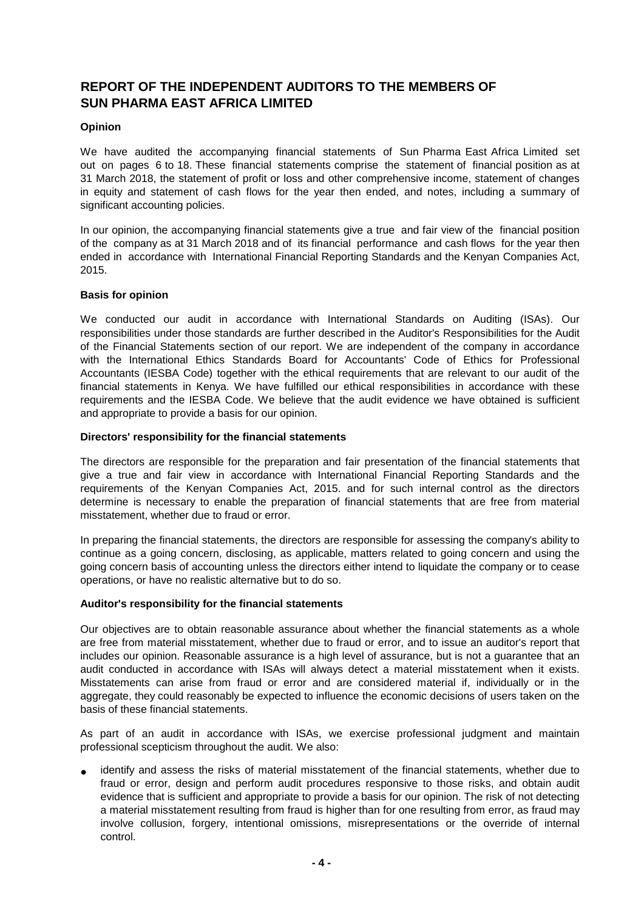# **REPORT OF THE INDEPENDENT AUDITORS TO THE MEMBERS OF SUN PHARMA EAST AFRICA LIMITED**

#### **Opinion**

We have audited the accompanying financial statements of Sun Pharma East Africa Limited set out on pages 6 to 18. These financial statements comprise the statement of financial position as at 31 March 2018, the statement of profit or loss and other comprehensive income, statement of changes in equity and statement of cash flows for the year then ended, and notes, including a summary of significant accounting policies.

In our opinion, the accompanying financial statements give a true and fair view of the financial position of the company as at 31 March 2018 and of its financial performance and cash flows for the year then ended in accordance with International Financial Reporting Standards and the Kenyan Companies Act, 2015.

#### **Basis for opinion**

We conducted our audit in accordance with International Standards on Auditing (ISAs). Our responsibilities under those standards are further described in the Auditor's Responsibilities for the Audit of the Financial Statements section of our report. We are independent of the company in accordance with the International Ethics Standards Board for Accountants' Code of Ethics for Professional Accountants (IESBA Code) together with the ethical requirements that are relevant to our audit of the financial statements in Kenya. We have fulfilled our ethical responsibilities in accordance with these requirements and the IESBA Code. We believe that the audit evidence we have obtained is sufficient and appropriate to provide a basis for our opinion.

#### **Directors' responsibility for the financial statements**

The directors are responsible for the preparation and fair presentation of the financial statements that give a true and fair view in accordance with International Financial Reporting Standards and the requirements of the Kenyan Companies Act, 2015. and for such internal control as the directors determine is necessary to enable the preparation of financial statements that are free from material misstatement, whether due to fraud or error.

In preparing the financial statements, the directors are responsible for assessing the company's ability to continue as a going concern, disclosing, as applicable, matters related to going concern and using the going concern basis of accounting unless the directors either intend to liquidate the company or to cease operations, or have no realistic alternative but to do so.

## **Auditor's responsibility for the financial statements**

Our objectives are to obtain reasonable assurance about whether the financial statements as a whole are free from material misstatement, whether due to fraud or error, and to issue an auditor's report that includes our opinion. Reasonable assurance is a high level of assurance, but is not a guarantee that an audit conducted in accordance with ISAs will always detect a material misstatement when it exists. Misstatements can arise from fraud or error and are considered material if, individually or in the aggregate, they could reasonably be expected to influence the economic decisions of users taken on the basis of these financial statements.

As part of an audit in accordance with ISAs, we exercise professional judgment and maintain professional scepticism throughout the audit. We also:

**●** identify and assess the risks of material misstatement of the financial statements, whether due to fraud or error, design and perform audit procedures responsive to those risks, and obtain audit evidence that is sufficient and appropriate to provide a basis for our opinion. The risk of not detecting a material misstatement resulting from fraud is higher than for one resulting from error, as fraud may involve collusion, forgery, intentional omissions, misrepresentations or the override of internal control.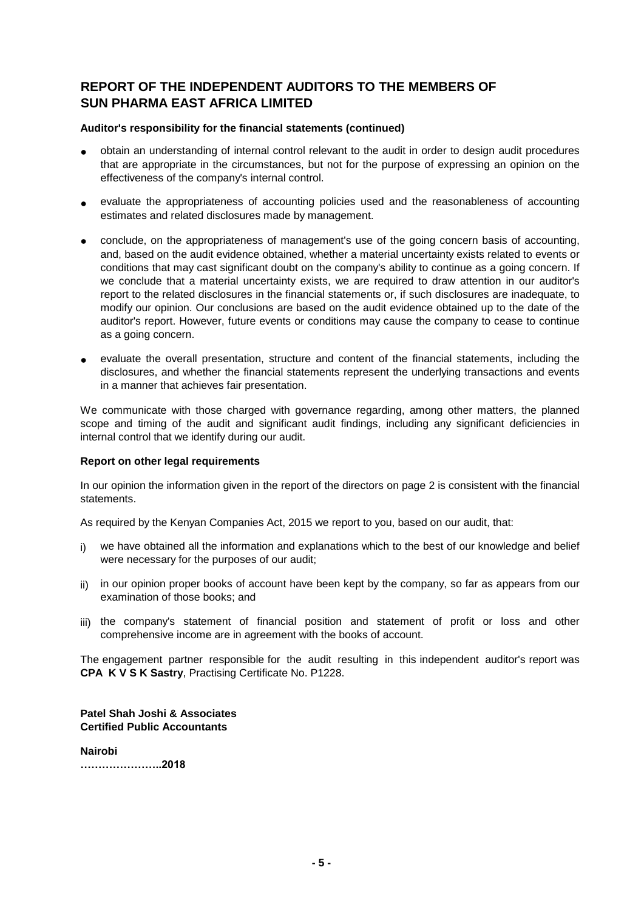# **REPORT OF THE INDEPENDENT AUDITORS TO THE MEMBERS OF SUN PHARMA EAST AFRICA LIMITED**

#### **Auditor's responsibility for the financial statements (continued)**

- **●** obtain an understanding of internal control relevant to the audit in order to design audit procedures that are appropriate in the circumstances, but not for the purpose of expressing an opinion on the effectiveness of the company's internal control.
- **●** evaluate the appropriateness of accounting policies used and the reasonableness of accounting estimates and related disclosures made by management.
- **●** conclude, on the appropriateness of management's use of the going concern basis of accounting, and, based on the audit evidence obtained, whether a material uncertainty exists related to events or conditions that may cast significant doubt on the company's ability to continue as a going concern. If we conclude that a material uncertainty exists, we are required to draw attention in our auditor's report to the related disclosures in the financial statements or, if such disclosures are inadequate, to modify our opinion. Our conclusions are based on the audit evidence obtained up to the date of the auditor's report. However, future events or conditions may cause the company to cease to continue as a going concern.
- **●** evaluate the overall presentation, structure and content of the financial statements, including the disclosures, and whether the financial statements represent the underlying transactions and events in a manner that achieves fair presentation.

We communicate with those charged with governance regarding, among other matters, the planned scope and timing of the audit and significant audit findings, including any significant deficiencies in internal control that we identify during our audit.

#### **Report on other legal requirements**

In our opinion the information given in the report of the directors on page 2 is consistent with the financial statements.

As required by the Kenyan Companies Act, 2015 we report to you, based on our audit, that:

- i) we have obtained all the information and explanations which to the best of our knowledge and belief were necessary for the purposes of our audit;
- ii) in our opinion proper books of account have been kept by the company, so far as appears from our examination of those books; and
- iii) the company's statement of financial position and statement of profit or loss and other comprehensive income are in agreement with the books of account.

The engagement partner responsible for the audit resulting in this independent auditor's report was **CPA K V S K Sastry**, Practising Certificate No. P1228.

**Patel Shah Joshi & Associates Certified Public Accountants** 

**Nairobi …………………..2018**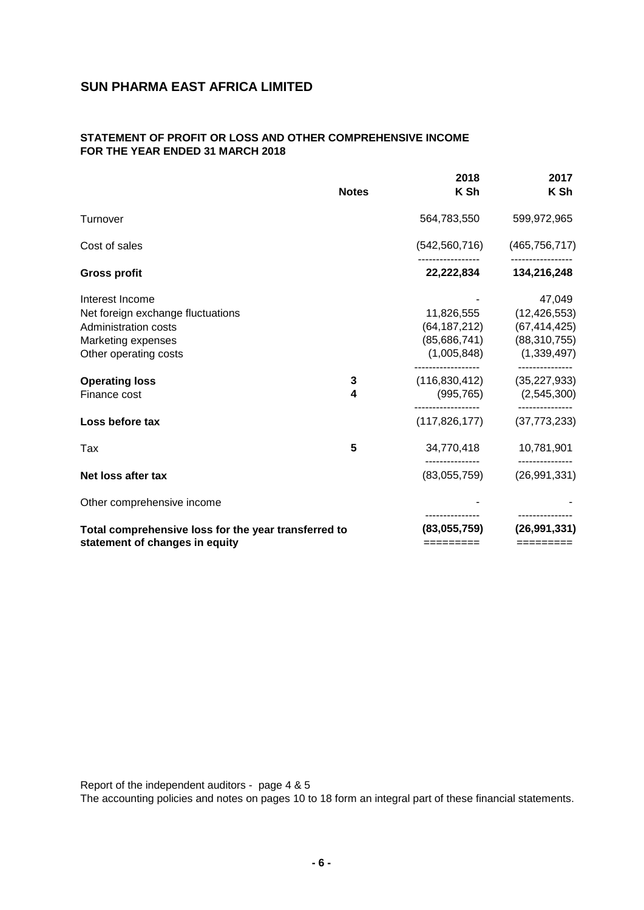## **STATEMENT OF PROFIT OR LOSS AND OTHER COMPREHENSIVE INCOME FOR THE YEAR ENDED 31 MARCH 2018**

|                                                                                                                             | <b>Notes</b> | 2018<br>K Sh                   | 2017<br>K Sh                                                                                                  |
|-----------------------------------------------------------------------------------------------------------------------------|--------------|--------------------------------|---------------------------------------------------------------------------------------------------------------|
| Turnover                                                                                                                    |              | 564,783,550                    | 599,972,965                                                                                                   |
| Cost of sales                                                                                                               |              | (542,560,716)                  | (465, 756, 717)                                                                                               |
| <b>Gross profit</b>                                                                                                         |              | 22,222,834                     | ------------<br>134,216,248                                                                                   |
| Interest Income<br>Net foreign exchange fluctuations<br>Administration costs<br>Marketing expenses<br>Other operating costs |              | 11,826,555<br>(1,005,848)      | 47,049<br>(12, 426, 553)<br>$(64, 187, 212)$ $(67, 414, 425)$<br>$(85,686,741)$ $(88,310,755)$<br>(1,339,497) |
| <b>Operating loss</b><br>Finance cost                                                                                       | 3<br>4       | (995, 765)                     | $(116,830,412)$ $(35,227,933)$<br>(2,545,300)                                                                 |
| Loss before tax                                                                                                             |              | (117, 826, 177)                | (37,773,233)                                                                                                  |
| Tax                                                                                                                         | 5            | 34,770,418                     | 10,781,901                                                                                                    |
| Net loss after tax                                                                                                          |              | --------------<br>(83,055,759) | -------------<br>(26, 991, 331)                                                                               |
| Other comprehensive income                                                                                                  |              |                                |                                                                                                               |
| Total comprehensive loss for the year transferred to<br>statement of changes in equity                                      |              | (83,055,759)<br>=========      | (26, 991, 331)<br>=========                                                                                   |

Report of the independent auditors - page 4 & 5 The accounting policies and notes on pages 10 to 18 form an integral part of these financial statements.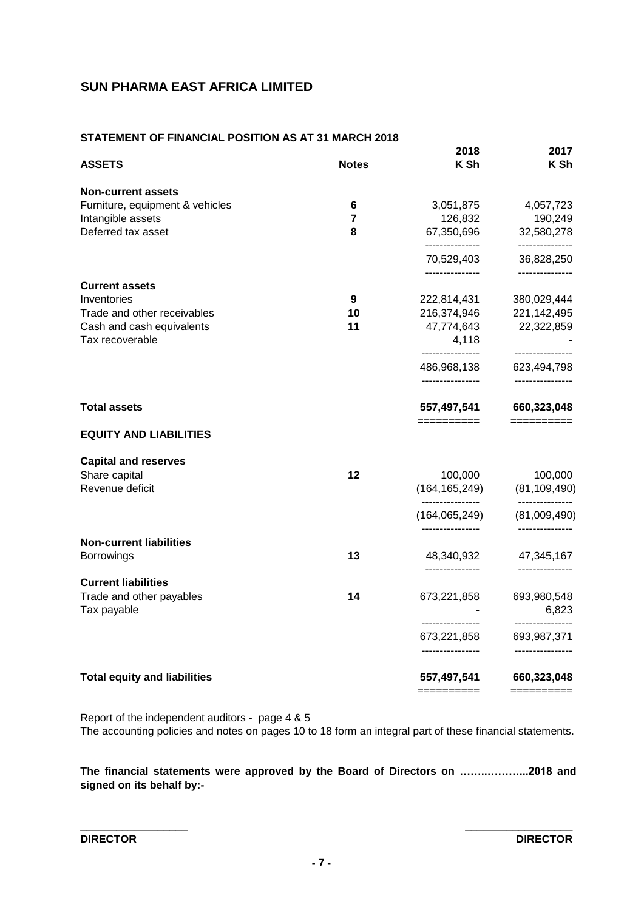## **STATEMENT OF FINANCIAL POSITION AS AT 31 MARCH 2018**

| <b>ASSETS</b>                       | <b>Notes</b>   | 2018<br>K Sh                                        | 2017<br>K Sh                                        |
|-------------------------------------|----------------|-----------------------------------------------------|-----------------------------------------------------|
|                                     |                |                                                     |                                                     |
| <b>Non-current assets</b>           |                |                                                     |                                                     |
| Furniture, equipment & vehicles     | 6              | 3,051,875                                           | 4,057,723                                           |
| Intangible assets                   | $\overline{7}$ | 126,832                                             | 190,249                                             |
| Deferred tax asset                  | 8              | 67,350,696<br>---------------                       | 32,580,278<br>---------------                       |
|                                     |                | 70,529,403<br>---------------                       | 36,828,250<br>---------------                       |
| <b>Current assets</b>               |                |                                                     |                                                     |
| Inventories                         | 9              | 222,814,431                                         | 380,029,444                                         |
| Trade and other receivables         | 10             | 216,374,946                                         | 221,142,495                                         |
| Cash and cash equivalents           | 11             | 47,774,643                                          | 22,322,859                                          |
| Tax recoverable                     |                | 4,118                                               |                                                     |
|                                     |                | ----------------<br>486,968,138<br>---------------- | ----------------<br>623,494,798<br>---------------- |
| <b>Total assets</b>                 |                | 557,497,541                                         | 660,323,048                                         |
| <b>EQUITY AND LIABILITIES</b>       |                | ==========                                          |                                                     |
| <b>Capital and reserves</b>         |                |                                                     |                                                     |
| Share capital                       | 12             | 100,000                                             | 100,000                                             |
| Revenue deficit                     |                | (164, 165, 249)                                     | (81, 109, 490)                                      |
|                                     |                | ----------------<br>(164, 065, 249)                 | ---------------<br>(81,009,490)                     |
|                                     |                | ----------------                                    | ---------------                                     |
| <b>Non-current liabilities</b>      |                |                                                     |                                                     |
| <b>Borrowings</b>                   | 13             | 48,340,932<br>---------------                       | 47,345,167<br>---------------                       |
| <b>Current liabilities</b>          |                |                                                     |                                                     |
| Trade and other payables            | 14             | 673,221,858                                         | 693,980,548                                         |
| Tax payable                         |                |                                                     | 6,823<br>----------                                 |
|                                     |                | 673,221,858                                         | 693,987,371                                         |
|                                     |                | ----------------                                    | ----------------                                    |
| <b>Total equity and liabilities</b> |                | 557,497,541                                         | 660,323,048                                         |
|                                     |                | $=$ = = = = = = = = = =                             | $=$ ==========                                      |

Report of the independent auditors - page 4 & 5 The accounting policies and notes on pages 10 to 18 form an integral part of these financial statements.

**The financial statements were approved by the Board of Directors on ……..………...2018 and signed on its behalf by:-**

**\_\_\_\_\_\_\_\_\_\_\_\_\_\_\_\_\_\_ \_\_\_\_\_\_\_\_\_\_\_\_\_\_\_\_\_\_**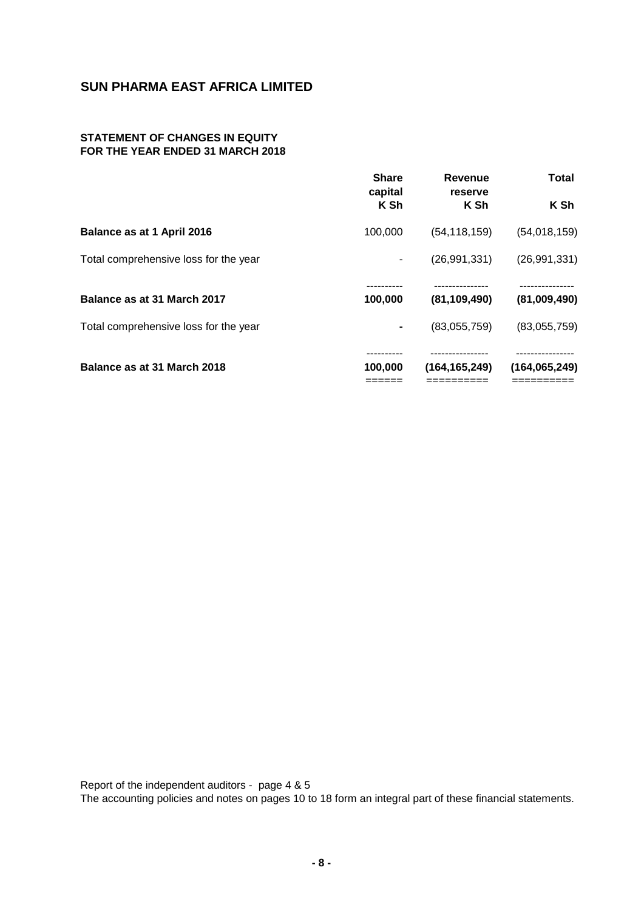## **STATEMENT OF CHANGES IN EQUITY FOR THE YEAR ENDED 31 MARCH 2018**

|                                       | <b>Share</b><br>capital | Revenue<br>reserve | Total           |
|---------------------------------------|-------------------------|--------------------|-----------------|
|                                       | K Sh                    | K Sh               | K Sh            |
| Balance as at 1 April 2016            | 100,000                 | (54, 118, 159)     | (54,018,159)    |
| Total comprehensive loss for the year |                         | (26, 991, 331)     | (26, 991, 331)  |
| Balance as at 31 March 2017           | 100,000                 | (81, 109, 490)     | (81,009,490)    |
| Total comprehensive loss for the year |                         | (83,055,759)       | (83,055,759)    |
| Balance as at 31 March 2018           |                         | --------------     |                 |
|                                       | 100,000                 | (164, 165, 249)    | (164, 065, 249) |

Report of the independent auditors - page 4 & 5 The accounting policies and notes on pages 10 to 18 form an integral part of these financial statements.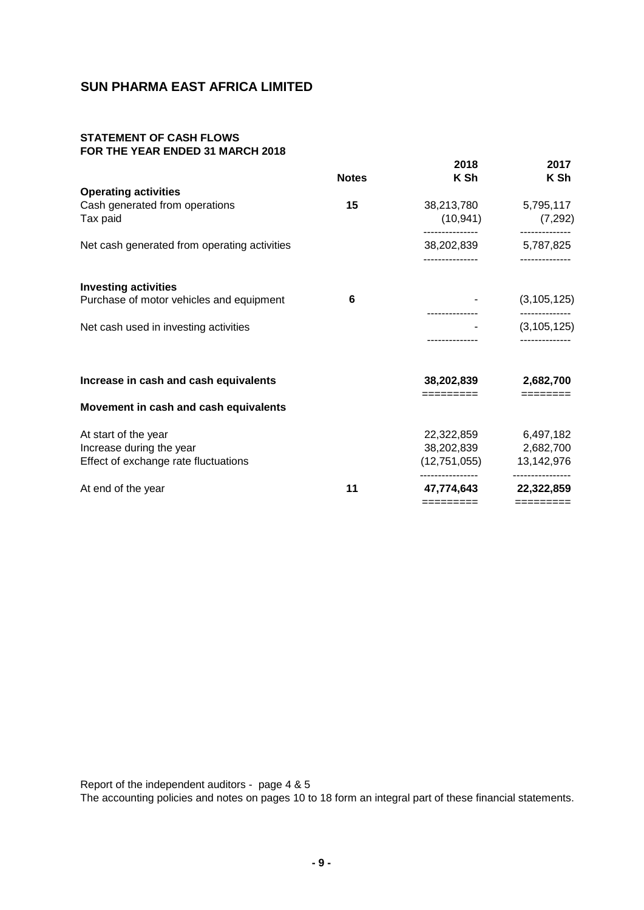## **STATEMENT OF CASH FLOWS FOR THE YEAR ENDED 31 MARCH 2018**

|                                              | <b>Notes</b> | 2018<br>K Sh                     | 2017<br>K Sh                   |
|----------------------------------------------|--------------|----------------------------------|--------------------------------|
| <b>Operating activities</b>                  |              |                                  |                                |
| Cash generated from operations               | 15           | 38,213,780                       | 5,795,117                      |
| Tax paid                                     |              | (10, 941)<br>---------------     | (7, 292)<br>------------       |
| Net cash generated from operating activities |              | 38,202,839                       | 5,787,825                      |
| <b>Investing activities</b>                  |              |                                  |                                |
| Purchase of motor vehicles and equipment     | 6            |                                  | (3, 105, 125)                  |
| Net cash used in investing activities        |              |                                  | (3, 105, 125)                  |
|                                              |              |                                  |                                |
| Increase in cash and cash equivalents        |              | 38,202,839                       | 2,682,700                      |
| Movement in cash and cash equivalents        |              |                                  |                                |
| At start of the year                         |              | 22,322,859                       | 6,497,182                      |
| Increase during the year                     |              |                                  | 38,202,839 2,682,700           |
| Effect of exchange rate fluctuations         |              | (12,751,055)<br>---------------- | 13,142,976<br>---------------- |
| At end of the year                           | 11           | 47,774,643                       | 22,322,859                     |
|                                              |              | =========                        | =========                      |

Report of the independent auditors - page 4 & 5 The accounting policies and notes on pages 10 to 18 form an integral part of these financial statements.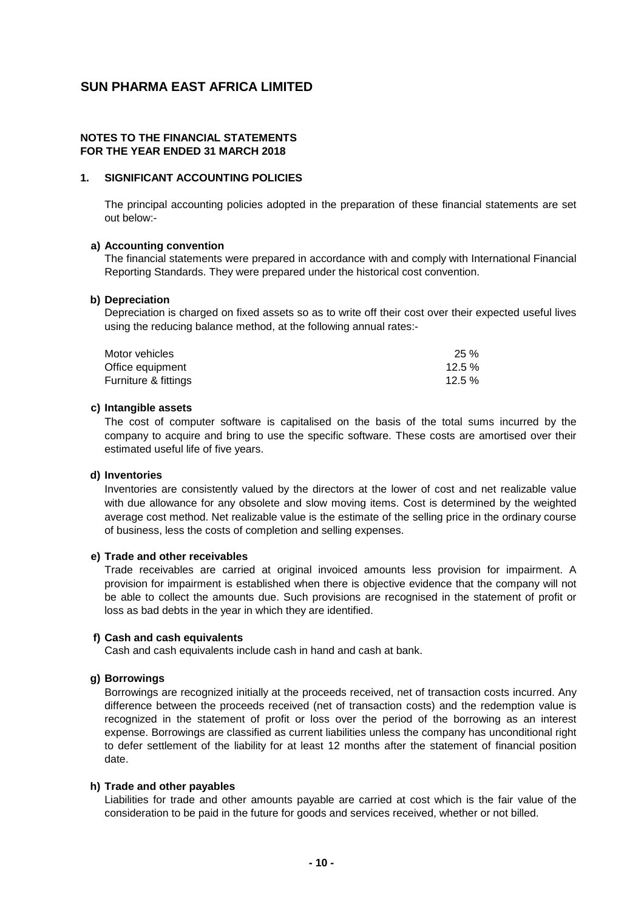## **NOTES TO THE FINANCIAL STATEMENTS FOR THE YEAR ENDED 31 MARCH 2018**

#### **1. SIGNIFICANT ACCOUNTING POLICIES**

The principal accounting policies adopted in the preparation of these financial statements are set out below:-

#### **a) Accounting convention**

The financial statements were prepared in accordance with and comply with International Financial Reporting Standards. They were prepared under the historical cost convention.

#### **b) Depreciation**

Depreciation is charged on fixed assets so as to write off their cost over their expected useful lives using the reducing balance method, at the following annual rates:-

| Motor vehicles       | 25%   |
|----------------------|-------|
| Office equipment     | 12.5% |
| Furniture & fittings | 12.5% |

#### **c) Intangible assets**

The cost of computer software is capitalised on the basis of the total sums incurred by the company to acquire and bring to use the specific software. These costs are amortised over their estimated useful life of five years.

#### **d) Inventories**

Inventories are consistently valued by the directors at the lower of cost and net realizable value with due allowance for any obsolete and slow moving items. Cost is determined by the weighted average cost method. Net realizable value is the estimate of the selling price in the ordinary course of business, less the costs of completion and selling expenses.

#### **e) Trade and other receivables**

Trade receivables are carried at original invoiced amounts less provision for impairment. A provision for impairment is established when there is objective evidence that the company will not be able to collect the amounts due. Such provisions are recognised in the statement of profit or loss as bad debts in the year in which they are identified.

#### **f) Cash and cash equivalents**

Cash and cash equivalents include cash in hand and cash at bank.

#### **g) Borrowings**

Borrowings are recognized initially at the proceeds received, net of transaction costs incurred. Any difference between the proceeds received (net of transaction costs) and the redemption value is recognized in the statement of profit or loss over the period of the borrowing as an interest expense. Borrowings are classified as current liabilities unless the company has unconditional right to defer settlement of the liability for at least 12 months after the statement of financial position date.

#### **h) Trade and other payables**

Liabilities for trade and other amounts payable are carried at cost which is the fair value of the consideration to be paid in the future for goods and services received, whether or not billed.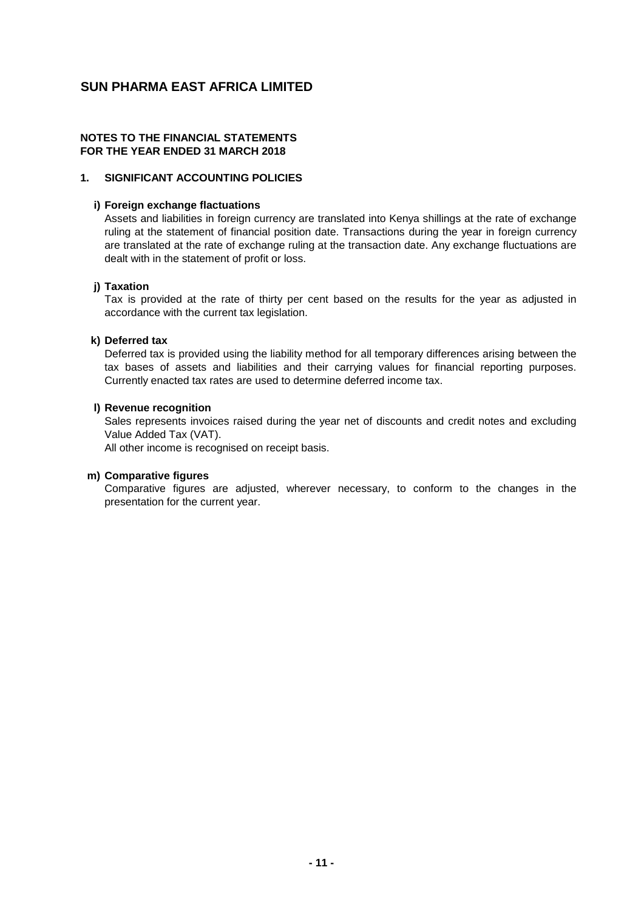## **NOTES TO THE FINANCIAL STATEMENTS FOR THE YEAR ENDED 31 MARCH 2018**

### **1. SIGNIFICANT ACCOUNTING POLICIES**

#### **i) Foreign exchange flactuations**

Assets and liabilities in foreign currency are translated into Kenya shillings at the rate of exchange ruling at the statement of financial position date. Transactions during the year in foreign currency are translated at the rate of exchange ruling at the transaction date. Any exchange fluctuations are dealt with in the statement of profit or loss.

#### **j) Taxation**

Tax is provided at the rate of thirty per cent based on the results for the year as adjusted in accordance with the current tax legislation.

#### **k) Deferred tax**

Deferred tax is provided using the liability method for all temporary differences arising between the tax bases of assets and liabilities and their carrying values for financial reporting purposes. Currently enacted tax rates are used to determine deferred income tax.

#### **l) Revenue recognition**

Sales represents invoices raised during the year net of discounts and credit notes and excluding Value Added Tax (VAT).

All other income is recognised on receipt basis.

#### **m) Comparative figures**

Comparative figures are adjusted, wherever necessary, to conform to the changes in the presentation for the current year.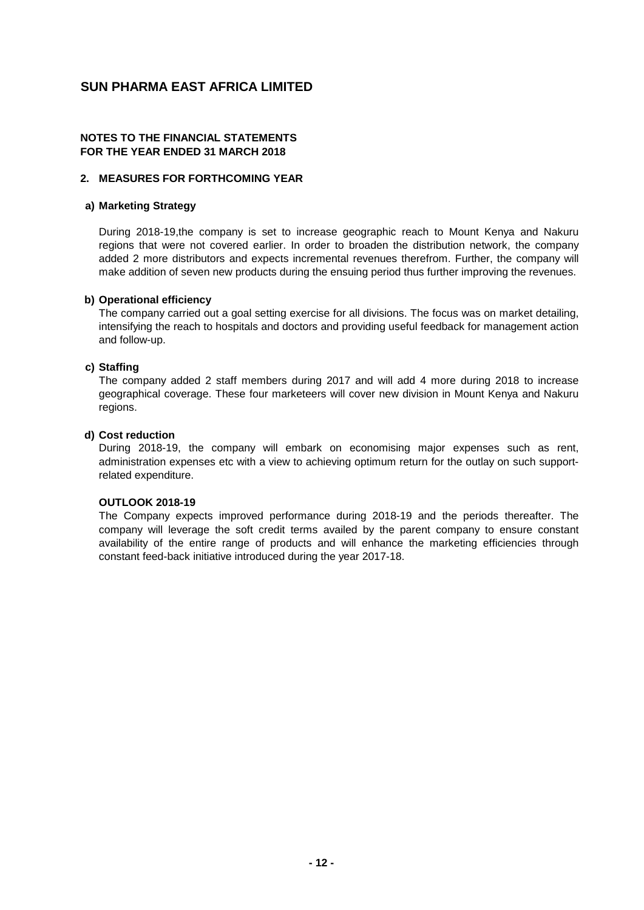## **NOTES TO THE FINANCIAL STATEMENTS FOR THE YEAR ENDED 31 MARCH 2018**

## **2. MEASURES FOR FORTHCOMING YEAR**

#### **a) Marketing Strategy**

During 2018-19,the company is set to increase geographic reach to Mount Kenya and Nakuru regions that were not covered earlier. In order to broaden the distribution network, the company added 2 more distributors and expects incremental revenues therefrom. Further, the company will make addition of seven new products during the ensuing period thus further improving the revenues.

#### **b) Operational efficiency**

The company carried out a goal setting exercise for all divisions. The focus was on market detailing, intensifying the reach to hospitals and doctors and providing useful feedback for management action and follow-up.

#### **c) Staffing**

The company added 2 staff members during 2017 and will add 4 more during 2018 to increase geographical coverage. These four marketeers will cover new division in Mount Kenya and Nakuru regions.

#### **d) Cost reduction**

During 2018-19, the company will embark on economising major expenses such as rent, administration expenses etc with a view to achieving optimum return for the outlay on such supportrelated expenditure.

#### **OUTLOOK 2018-19**

The Company expects improved performance during 2018-19 and the periods thereafter. The company will leverage the soft credit terms availed by the parent company to ensure constant availability of the entire range of products and will enhance the marketing efficiencies through constant feed-back initiative introduced during the year 2017-18.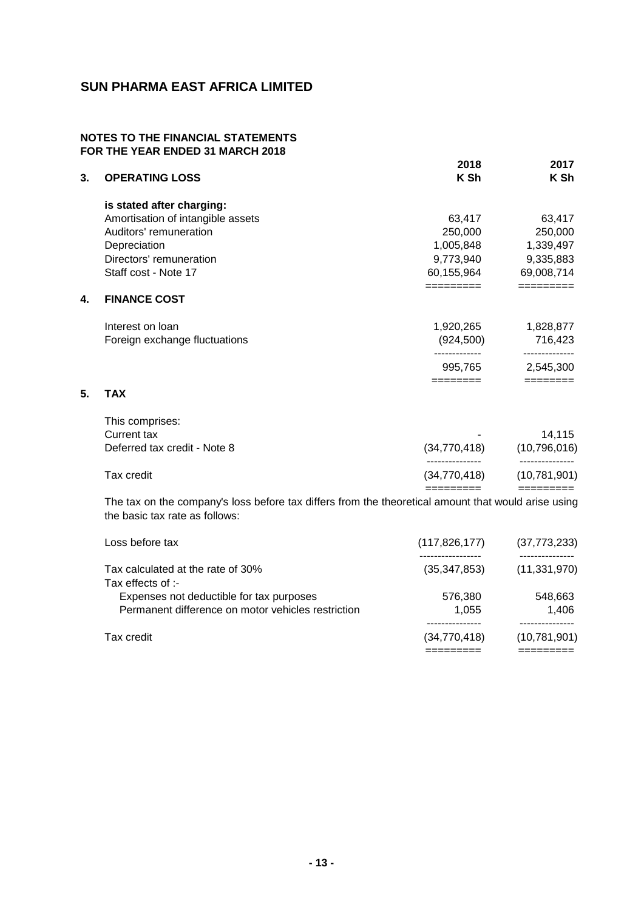#### **NOTES TO THE FINANCIAL STATEMENTS FOR THE YEAR ENDED 31 MARCH 2018**

| 3. | <b>OPERATING LOSS</b>             | 2018<br>K Sh | 2017<br>K Sh              |
|----|-----------------------------------|--------------|---------------------------|
|    | is stated after charging:         |              |                           |
|    | Amortisation of intangible assets | 63,417       | 63,417                    |
|    | Auditors' remuneration            | 250,000      | 250,000                   |
|    | Depreciation                      | 1,005,848    | 1,339,497                 |
|    | Directors' remuneration           | 9,773,940    | 9,335,883                 |
|    | Staff cost - Note 17              | 60,155,964   | 69,008,714                |
|    |                                   | =========    | =========                 |
| 4. | <b>FINANCE COST</b>               |              |                           |
|    | Interest on loan                  | 1,920,265    | 1,828,877                 |
|    | Foreign exchange fluctuations     | (924, 500)   | 716,423                   |
|    |                                   | 995,765      | ------------<br>2,545,300 |
|    |                                   |              | $=$ =======               |
| 5. | <b>TAX</b>                        |              |                           |
|    | This comprises:                   |              |                           |
|    | Current tax                       |              | 14,115                    |
|    | Deferred tax credit - Note 8      | (34,770,418) | (10,796,016)              |
|    | <b>Tax credit</b>                 | (34,770,418) | (10, 781, 901)            |
|    |                                   | =========    |                           |

The tax on the company's loss before tax differs from the theoretical amount that would arise using the basic tax rate as follows:

| Tax credit                                         | (34,770,418)    | (10,781,901)   |
|----------------------------------------------------|-----------------|----------------|
|                                                    |                 |                |
| Permanent difference on motor vehicles restriction | 1.055           | 1.406          |
| Expenses not deductible for tax purposes           | 576.380         | 548.663        |
| Tax effects of :-                                  |                 |                |
| Tax calculated at the rate of 30%                  | (35, 347, 853)  | (11, 331, 970) |
|                                                    |                 |                |
| Loss before tax                                    | (117, 826, 177) | (37,773,233)   |
|                                                    |                 |                |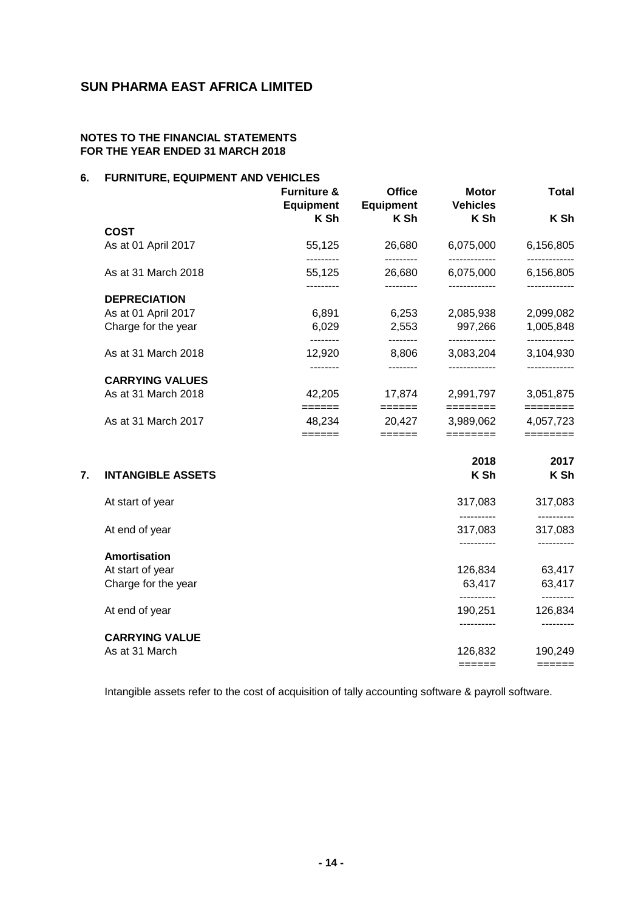## **NOTES TO THE FINANCIAL STATEMENTS FOR THE YEAR ENDED 31 MARCH 2018**

## **6. FURNITURE, EQUIPMENT AND VEHICLES**

|    |                          | <b>Furniture &amp;</b><br><b>Equipment</b><br>K Sh | <b>Office</b><br><b>Equipment</b><br>K Sh                                  | <b>Motor</b><br><b>Vehicles</b><br>K Sh | <b>Total</b><br>K Sh       |
|----|--------------------------|----------------------------------------------------|----------------------------------------------------------------------------|-----------------------------------------|----------------------------|
|    | <b>COST</b>              |                                                    |                                                                            |                                         |                            |
|    | As at 01 April 2017      | 55,125                                             | 26,680                                                                     | 6,075,000                               | 6,156,805                  |
|    | As at 31 March 2018      | ---------<br>55,125<br>---------                   | ---------<br>26,680                                                        | -------------<br>6,075,000              | -------------<br>6,156,805 |
|    | <b>DEPRECIATION</b>      |                                                    |                                                                            |                                         |                            |
|    | As at 01 April 2017      | 6,891                                              | 6,253                                                                      | 2,085,938                               | 2,099,082                  |
|    | Charge for the year      | 6,029<br>--------                                  | 2,553<br>--------                                                          | 997,266<br>-------------                | 1,005,848<br>------------- |
|    | As at 31 March 2018      | 12,920<br>--------                                 | 8,806<br>--------                                                          | 3,083,204                               | 3,104,930                  |
|    | <b>CARRYING VALUES</b>   |                                                    |                                                                            |                                         |                            |
|    | As at 31 March 2018      | 42,205                                             | 17,874                                                                     | 2,991,797                               | 3,051,875                  |
|    | As at 31 March 2017      | $=$ $=$ $=$ $=$ $=$<br>48.234                      | $\qquad \qquad \equiv \equiv \equiv \equiv \equiv \equiv \equiv$<br>20.427 | $=$ =======<br>3.989.062                | ========<br>4,057,723      |
|    |                          | $=$ $=$ $=$ $=$ $=$ $=$                            | $=$ $=$ $=$ $=$ $=$ $=$                                                    | $=$ $=$ $=$ $=$ $=$ $=$ $=$ $=$ $=$     | $=$ =======                |
| 7. | <b>INTANGIBLE ASSETS</b> |                                                    |                                                                            | 2018<br>K Sh                            | 2017<br>K Sh               |
|    | At start of year         |                                                    |                                                                            | 317,083                                 | 317,083                    |
|    | At end of year           |                                                    |                                                                            | ----------<br>317,083                   | ----------<br>317,083      |
|    |                          |                                                    |                                                                            |                                         |                            |

# **Amortisation**

| As at 31 March                  | 126.832 | 190.249 |
|---------------------------------|---------|---------|
| <b>CARRYING VALUE</b>           |         |         |
|                                 |         |         |
| At end of year                  | 190.251 | 126.834 |
|                                 |         |         |
| Charge for the year             | 63.417  | 63,417  |
| At start of year                | 126.834 | 63,417  |
| , , , , , , , , , , , , , , , , |         |         |

Intangible assets refer to the cost of acquisition of tally accounting software & payroll software.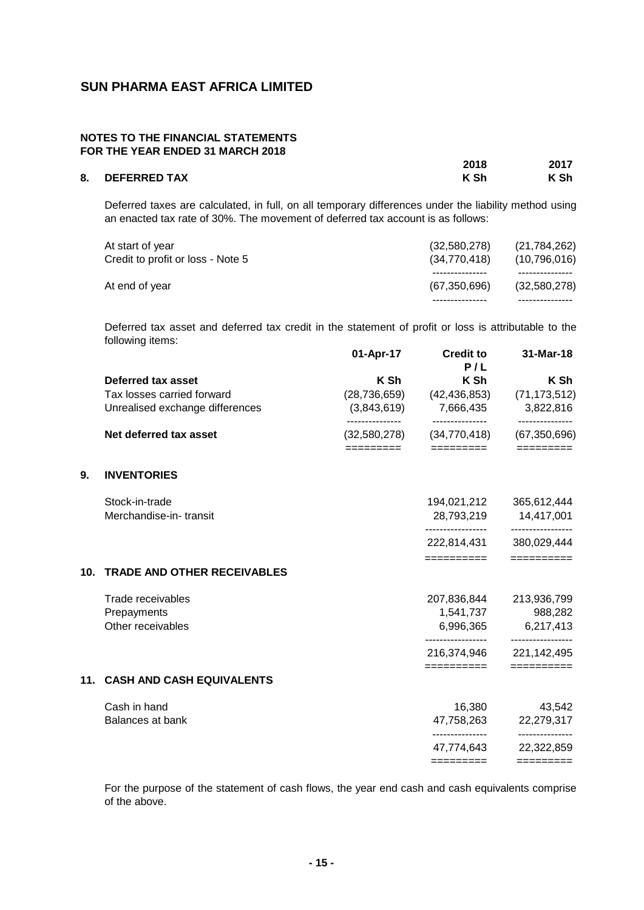## **NOTES TO THE FINANCIAL STATEMENTS FOR THE YEAR ENDED 31 MARCH 2018**

|                 | 2018 | 2017 |
|-----------------|------|------|
| 8. DEFERRED TAX | K Sh | K Sh |

Deferred taxes are calculated, in full, on all temporary differences under the liability method using an enacted tax rate of 30%. The movement of deferred tax account is as follows:

| At end of year                                        | (67,350,696)                 | (32,580,278)                   |
|-------------------------------------------------------|------------------------------|--------------------------------|
| At start of year<br>Credit to profit or loss - Note 5 | (32,580,278)<br>(34,770,418) | (21, 784, 262)<br>(10,796,016) |
|                                                       |                              |                                |

Deferred tax asset and deferred tax credit in the statement of profit or loss is attributable to the following items:

|     |                                    | 01-Apr-17       | <b>Credit to</b><br>P/L                         | 31-Mar-18                    |
|-----|------------------------------------|-----------------|-------------------------------------------------|------------------------------|
|     | Deferred tax asset                 | K Sh            | K Sh                                            | K Sh                         |
|     | Tax losses carried forward         | (28, 736, 659)  | (42, 436, 853)                                  | (71, 173, 512)               |
|     | Unrealised exchange differences    | (3,843,619)<br> | 7,666,435<br>---------------                    | 3,822,816<br>-------------   |
|     | Net deferred tax asset             | (32,580,278)    | (34,770,418)<br>$=$ $=$ $=$ $=$ $=$ $=$ $=$ $=$ | (67, 350, 696)<br>=========  |
| 9.  | <b>INVENTORIES</b>                 |                 |                                                 |                              |
|     | Stock-in-trade                     |                 | 194,021,212                                     | 365,612,444                  |
|     | Merchandise-in-transit             |                 | 28,793,219<br>.                                 | 14,417,001<br>-------------- |
|     |                                    |                 | 222,814,431                                     | 380,029,444                  |
| 10. | <b>TRADE AND OTHER RECEIVABLES</b> |                 | ==========                                      | $=$ = = = = = = = = =        |
|     |                                    |                 |                                                 |                              |
|     | Trade receivables                  |                 | 207,836,844                                     | 213,936,799                  |
|     | Prepayments                        |                 | 1,541,737                                       | 988,282                      |
|     | Other receivables                  |                 | 6,996,365                                       | 6,217,413<br>--------------  |
|     |                                    |                 | 216,374,946<br>==========                       | 221, 142, 495<br>==========  |
| 11. | <b>CASH AND CASH EQUIVALENTS</b>   |                 |                                                 |                              |
|     | Cash in hand                       |                 | 16,380                                          | 43,542                       |
|     | Balances at bank                   |                 | 47,758,263                                      | 22,279,317                   |
|     |                                    |                 | 47,774,643                                      | .<br>22,322,859              |
|     |                                    |                 | $=$ ========                                    | $=$ ========                 |

For the purpose of the statement of cash flows, the year end cash and cash equivalents comprise of the above.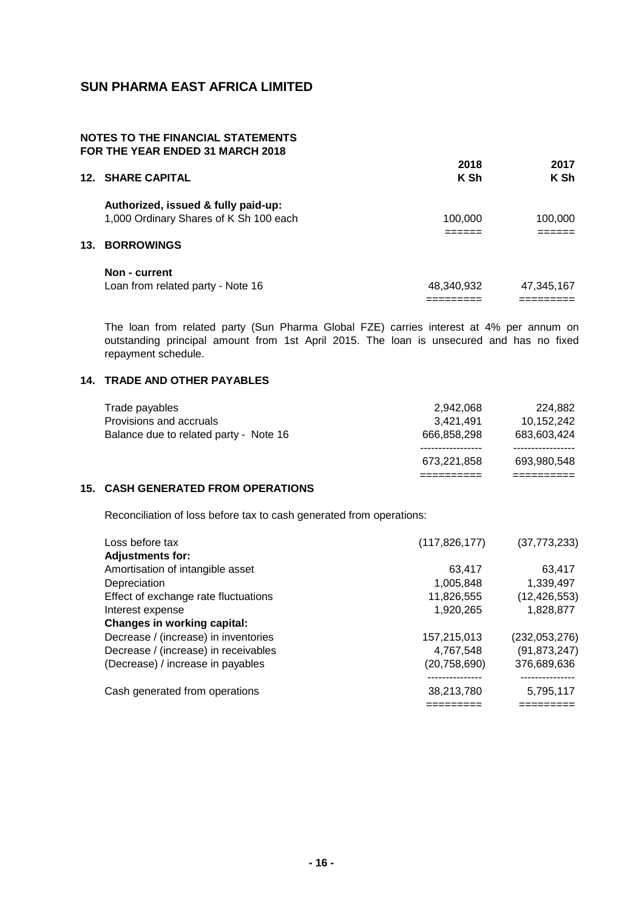#### **NOTES TO THE FINANCIAL STATEMENTS FOR THE YEAR ENDED 31 MARCH 2018**

| <b>12. SHARE CAPITAL</b>               | 2018<br>K Sh | 2017<br>K Sh |
|----------------------------------------|--------------|--------------|
| Authorized, issued & fully paid-up:    |              |              |
| 1,000 Ordinary Shares of K Sh 100 each | 100.000      | 100.000      |
| <b>13. BORROWINGS</b>                  |              |              |
| Non - current                          |              |              |
| Loan from related party - Note 16      | 48,340,932   | 47,345,167   |
|                                        |              |              |

The loan from related party (Sun Pharma Global FZE) carries interest at 4% per annum on outstanding principal amount from 1st April 2015. The loan is unsecured and has no fixed repayment schedule.

## **14. TRADE AND OTHER PAYABLES**

|                                        | 673.221.858 | 693.980.548 |
|----------------------------------------|-------------|-------------|
| Balance due to related party - Note 16 | 666.858.298 | 683,603,424 |
| Provisions and accruals                | 3.421.491   | 10.152.242  |
| Trade payables                         | 2.942.068   | 224.882     |
|                                        |             |             |

## **15. CASH GENERATED FROM OPERATIONS**

Reconciliation of loss before tax to cash generated from operations:

| Loss before tax                      | (117, 826, 177) | (37,773,233)   |
|--------------------------------------|-----------------|----------------|
| <b>Adjustments for:</b>              |                 |                |
| Amortisation of intangible asset     | 63.417          | 63,417         |
| Depreciation                         | 1,005,848       | 1,339,497      |
| Effect of exchange rate fluctuations | 11,826,555      | (12, 426, 553) |
| Interest expense                     | 1,920,265       | 1,828,877      |
| <b>Changes in working capital:</b>   |                 |                |
| Decrease / (increase) in inventories | 157,215,013     | (232,053,276)  |
| Decrease / (increase) in receivables | 4,767,548       | (91, 873, 247) |
| (Decrease) / increase in payables    | (20,758,690)    | 376,689,636    |
|                                      |                 |                |
| Cash generated from operations       | 38,213,780      | 5,795,117      |
|                                      |                 |                |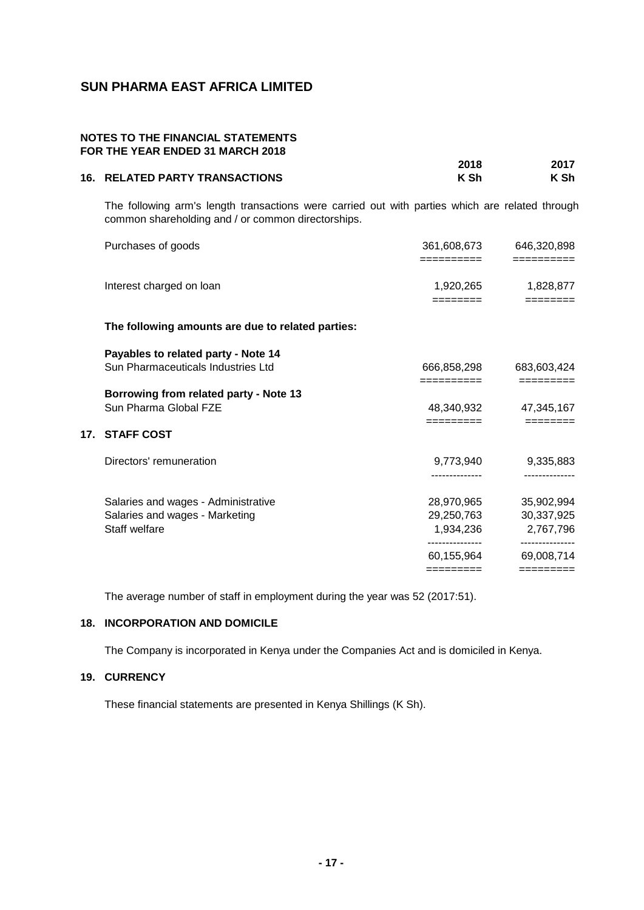## **NOTES TO THE FINANCIAL STATEMENTS FOR THE YEAR ENDED 31 MARCH 2018**

|                                       | 2018 | 2017 |
|---------------------------------------|------|------|
| <b>16. RELATED PARTY TRANSACTIONS</b> | K Sh | K Sh |

The following arm's length transactions were carried out with parties which are related through common shareholding and / or common directorships.

| Purchases of goods                                | 361,608,673<br>==========     | 646,320,898<br>==========     |
|---------------------------------------------------|-------------------------------|-------------------------------|
| Interest charged on loan                          | 1,920,265<br>========         | 1,828,877<br>========         |
| The following amounts are due to related parties: |                               |                               |
| Payables to related party - Note 14               |                               |                               |
| Sun Pharmaceuticals Industries Ltd                | 666,858,298                   | 683,603,424                   |
| Borrowing from related party - Note 13            | ==========                    | =========                     |
| Sun Pharma Global FZE                             | 48,340,932                    | 47,345,167                    |
| <b>STAFF COST</b>                                 | =========                     | ========                      |
| Directors' remuneration                           | 9,773,940                     | 9,335,883                     |
|                                                   |                               | --------------                |
| Salaries and wages - Administrative               | 28,970,965                    | 35,902,994                    |
| Salaries and wages - Marketing                    | 29,250,763                    | 30,337,925                    |
| Staff welfare                                     | 1,934,236                     | 2,767,796                     |
|                                                   | ---------------<br>60,155,964 | ---------------<br>69,008,714 |
|                                                   |                               | =========                     |

The average number of staff in employment during the year was 52 (2017:51).

## **18. INCORPORATION AND DOMICILE**

The Company is incorporated in Kenya under the Companies Act and is domiciled in Kenya.

## **19. CURRENCY**

**17.** 

These financial statements are presented in Kenya Shillings (K Sh).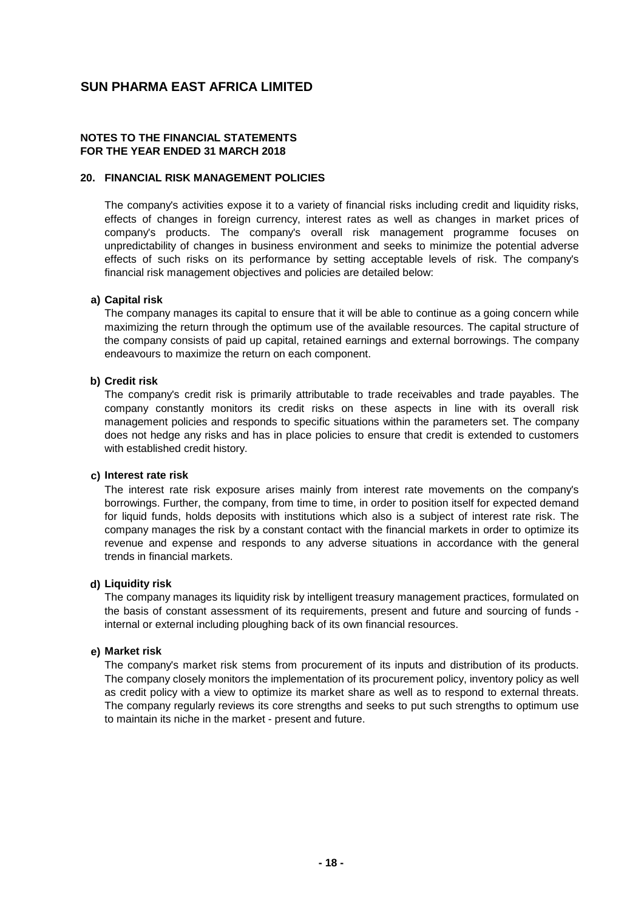## **NOTES TO THE FINANCIAL STATEMENTS FOR THE YEAR ENDED 31 MARCH 2018**

#### **20. FINANCIAL RISK MANAGEMENT POLICIES**

The company's activities expose it to a variety of financial risks including credit and liquidity risks, effects of changes in foreign currency, interest rates as well as changes in market prices of company's products. The company's overall risk management programme focuses on unpredictability of changes in business environment and seeks to minimize the potential adverse effects of such risks on its performance by setting acceptable levels of risk. The company's financial risk management objectives and policies are detailed below:

#### **a) Capital risk**

The company manages its capital to ensure that it will be able to continue as a going concern while maximizing the return through the optimum use of the available resources. The capital structure of the company consists of paid up capital, retained earnings and external borrowings. The company endeavours to maximize the return on each component.

#### **b) Credit risk**

The company's credit risk is primarily attributable to trade receivables and trade payables. The company constantly monitors its credit risks on these aspects in line with its overall risk management policies and responds to specific situations within the parameters set. The company does not hedge any risks and has in place policies to ensure that credit is extended to customers with established credit history.

#### **c) Interest rate risk**

The interest rate risk exposure arises mainly from interest rate movements on the company's borrowings. Further, the company, from time to time, in order to position itself for expected demand for liquid funds, holds deposits with institutions which also is a subject of interest rate risk. The company manages the risk by a constant contact with the financial markets in order to optimize its revenue and expense and responds to any adverse situations in accordance with the general trends in financial markets.

#### **d) Liquidity risk**

The company manages its liquidity risk by intelligent treasury management practices, formulated on the basis of constant assessment of its requirements, present and future and sourcing of funds internal or external including ploughing back of its own financial resources.

#### **e) Market risk**

The company's market risk stems from procurement of its inputs and distribution of its products. The company closely monitors the implementation of its procurement policy, inventory policy as well as credit policy with a view to optimize its market share as well as to respond to external threats. The company regularly reviews its core strengths and seeks to put such strengths to optimum use to maintain its niche in the market - present and future.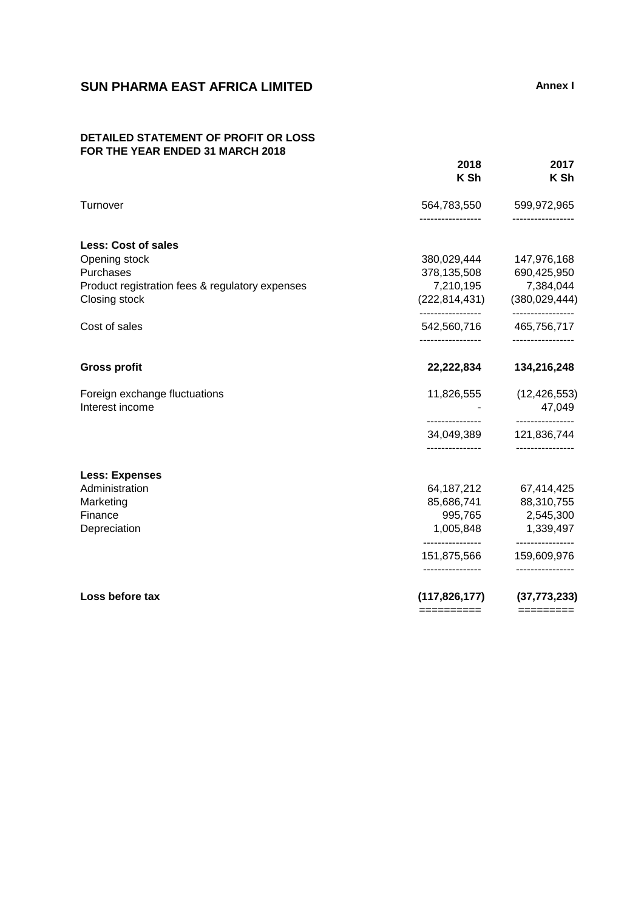# **SUN PHARMA EAST AFRICA LIMITED Annex I**

## **DETAILED STATEMENT OF PROFIT OR LOSS FOR THE YEAR ENDED 31 MARCH 2018**

|                                                  | 2018<br>K Sh                                          | 2017<br>K Sh                                          |
|--------------------------------------------------|-------------------------------------------------------|-------------------------------------------------------|
| Turnover                                         | -----------------                                     | 564,783,550 599,972,965<br>-----------------          |
| <b>Less: Cost of sales</b>                       |                                                       |                                                       |
| Opening stock                                    | 380,029,444                                           | 147,976,168                                           |
| Purchases                                        | 378,135,508                                           | 690,425,950                                           |
| Product registration fees & regulatory expenses  | 7,210,195                                             | 7,384,044                                             |
| Closing stock                                    | (222,814,431)                                         | (380, 029, 444)                                       |
| Cost of sales                                    | -----------------<br>542,560,716<br>----------------- | -----------------<br>465,756,717<br>----------------- |
| <b>Gross profit</b>                              | 22,222,834                                            | 134,216,248                                           |
| Foreign exchange fluctuations<br>Interest income | 11,826,555                                            | (12, 426, 553)<br>47,049                              |
|                                                  | 34,049,389<br>---------------                         | ----------------<br>121,836,744<br>----------------   |
| <b>Less: Expenses</b>                            |                                                       |                                                       |
| Administration                                   | 64,187,212                                            | 67,414,425                                            |
| Marketing                                        |                                                       | 85,686,741 88,310,755                                 |
| Finance                                          | 995,765                                               | 2,545,300                                             |
| Depreciation                                     | 1,005,848                                             | 1,339,497                                             |
|                                                  | ---------------<br>151,875,566<br>----------------    | --------------<br>159,609,976<br>----------------     |
| Loss before tax                                  | (117, 826, 177)                                       | (37, 773, 233)                                        |
|                                                  | ==========                                            | $=$ ========                                          |